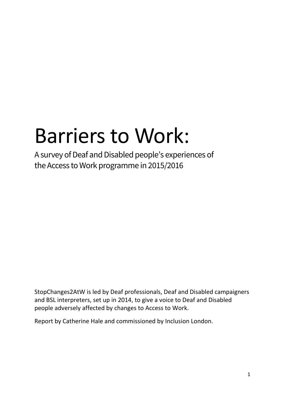# Barriers to Work:

A survey of Deaf and Disabled people's experiences of the Access to Work programme in 2015/2016

StopChanges2AtW is led by Deaf professionals, Deaf and Disabled campaigners and BSL interpreters, set up in 2014, to give a voice to Deaf and Disabled people adversely affected by changes to Access to Work.

Report by Catherine Hale and commissioned by Inclusion London.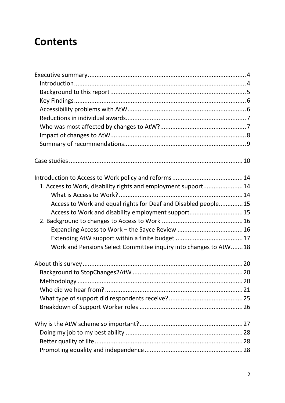# **Contents**

| 1. Access to Work, disability rights and employment support 14   |  |
|------------------------------------------------------------------|--|
|                                                                  |  |
| Access to Work and equal rights for Deaf and Disabled people15   |  |
| Access to Work and disability employment support15               |  |
|                                                                  |  |
|                                                                  |  |
|                                                                  |  |
| Work and Pensions Select Committee inquiry into changes to AtW18 |  |
|                                                                  |  |
|                                                                  |  |
|                                                                  |  |
|                                                                  |  |
|                                                                  |  |
|                                                                  |  |
|                                                                  |  |
|                                                                  |  |
|                                                                  |  |
|                                                                  |  |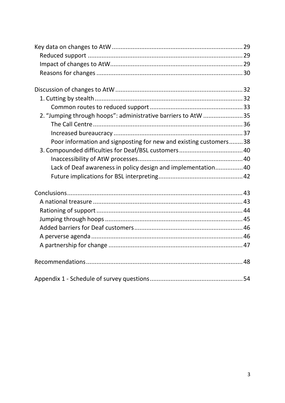| 2. "Jumping through hoops": administrative barriers to AtW 35     |  |
|-------------------------------------------------------------------|--|
|                                                                   |  |
|                                                                   |  |
| Poor information and signposting for new and existing customers38 |  |
|                                                                   |  |
|                                                                   |  |
| Lack of Deaf awareness in policy design and implementation 40     |  |
|                                                                   |  |
|                                                                   |  |
|                                                                   |  |
|                                                                   |  |
|                                                                   |  |
|                                                                   |  |
|                                                                   |  |
|                                                                   |  |
|                                                                   |  |
|                                                                   |  |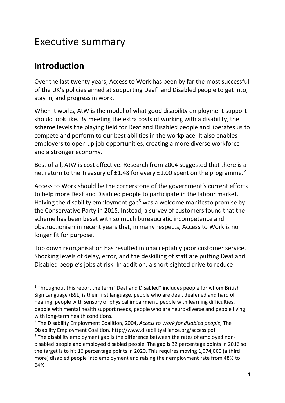# <span id="page-3-0"></span>Executive summary

### <span id="page-3-1"></span>**Introduction**

Over the last twenty years, Access to Work has been by far the most successful of the UK's policies aimed at supporting  $\Delta$  Deaf<sup>[1](#page-3-2)</sup> and Disabled people to get into, stay in, and progress in work.

When it works, AtW is the model of what good disability employment support should look like. By meeting the extra costs of working with a disability, the scheme levels the playing field for Deaf and Disabled people and liberates us to compete and perform to our best abilities in the workplace. It also enables employers to open up job opportunities, creating a more diverse workforce and a stronger economy.

Best of all, AtW is cost effective. Research from 2004 suggested that there is a net return to the Treasury of £1.48 for every £1.00 spent on the programme.<sup>[2](#page-3-3)</sup>

Access to Work should be the cornerstone of the government's current efforts to help more Deaf and Disabled people to participate in the labour market. Halving the disability employment gap<sup>[3](#page-3-4)</sup> was a welcome manifesto promise by the Conservative Party in 2015. Instead, a survey of customers found that the scheme has been beset with so much bureaucratic incompetence and obstructionism in recent years that, in many respects, Access to Work is no longer fit for purpose.

Top down reorganisation has resulted in unacceptably poor customer service. Shocking levels of delay, error, and the deskilling of staff are putting Deaf and Disabled people's jobs at risk. In addition, a short-sighted drive to reduce

<span id="page-3-2"></span><sup>&</sup>lt;sup>1</sup> Throughout this report the term "Deaf and Disabled" includes people for whom British Sign Language (BSL) is their first language, people who are deaf, deafened and hard of hearing, people with sensory or physical impairment, people with learning difficulties, people with mental health support needs, people who are neuro-diverse and people living with long-term health conditions.

<span id="page-3-4"></span><span id="page-3-3"></span><sup>2</sup> The Disability Employment Coalition, 2004, *Access to Work for disabled people*, The Disability Employment Coalition. http://www.disabilityalliance.org/access.pdf  $3$  The disability employment gap is the difference between the rates of employed nondisabled people and employed disabled people. The gap is 32 percentage points in 2016 so the target is to hit 16 percentage points in 2020. This requires moving 1,074,000 (a third more) disabled people into employment and raising their employment rate from 48% to 64%.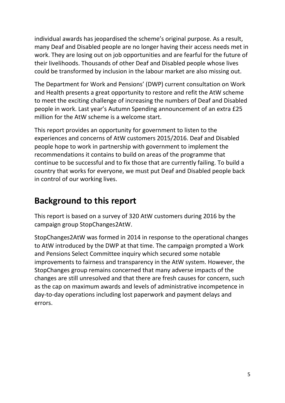individual awards has jeopardised the scheme's original purpose. As a result, many Deaf and Disabled people are no longer having their access needs met in work. They are losing out on job opportunities and are fearful for the future of their livelihoods. Thousands of other Deaf and Disabled people whose lives could be transformed by inclusion in the labour market are also missing out.

The Department for Work and Pensions' (DWP) current consultation on Work and Health presents a great opportunity to restore and refit the AtW scheme to meet the exciting challenge of increasing the numbers of Deaf and Disabled people in work. Last year's Autumn Spending announcement of an extra £25 million for the AtW scheme is a welcome start.

This report provides an opportunity for government to listen to the experiences and concerns of AtW customers 2015/2016. Deaf and Disabled people hope to work in partnership with government to implement the recommendations it contains to build on areas of the programme that continue to be successful and to fix those that are currently failing. To build a country that works for everyone, we must put Deaf and Disabled people back in control of our working lives.

### <span id="page-4-0"></span>**Background to this report**

This report is based on a survey of 320 AtW customers during 2016 by the campaign group StopChanges2AtW.

StopChanges2AtW was formed in 2014 in response to the operational changes to AtW introduced by the DWP at that time. The campaign prompted a Work and Pensions Select Committee inquiry which secured some notable improvements to fairness and transparency in the AtW system. However, the StopChanges group remains concerned that many adverse impacts of the changes are still unresolved and that there are fresh causes for concern, such as the cap on maximum awards and levels of administrative incompetence in day-to-day operations including lost paperwork and payment delays and errors.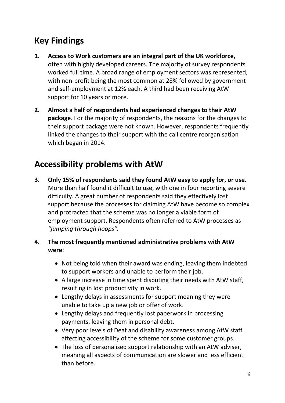### <span id="page-5-0"></span>**Key Findings**

- **1. Access to Work customers are an integral part of the UK workforce,**  often with highly developed careers. The majority of survey respondents worked full time. A broad range of employment sectors was represented, with non-profit being the most common at 28% followed by government and self-employment at 12% each. A third had been receiving AtW support for 10 years or more.
- **2. Almost a half of respondents had experienced changes to their AtW package**. For the majority of respondents, the reasons for the changes to their support package were not known. However, respondents frequently linked the changes to their support with the call centre reorganisation which began in 2014.

### <span id="page-5-1"></span>**Accessibility problems with AtW**

- **3. Only 15% of respondents said they found AtW easy to apply for, or use.** More than half found it difficult to use, with one in four reporting severe difficulty. A great number of respondents said they effectively lost support because the processes for claiming AtW have become so complex and protracted that the scheme was no longer a viable form of employment support. Respondents often referred to AtW processes as *"jumping through hoops".*
- **4. The most frequently mentioned administrative problems with AtW were**:
	- Not being told when their award was ending, leaving them indebted to support workers and unable to perform their job.
	- A large increase in time spent disputing their needs with AtW staff, resulting in lost productivity in work.
	- Lengthy delays in assessments for support meaning they were unable to take up a new job or offer of work.
	- Lengthy delays and frequently lost paperwork in processing payments, leaving them in personal debt.
	- Very poor levels of Deaf and disability awareness among AtW staff affecting accessibility of the scheme for some customer groups.
	- The loss of personalised support relationship with an AtW adviser, meaning all aspects of communication are slower and less efficient than before.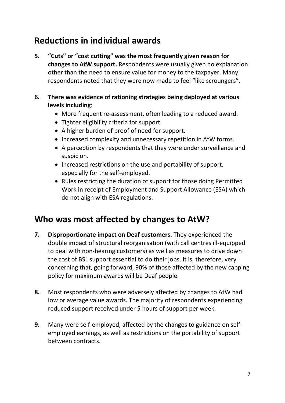### <span id="page-6-0"></span>**Reductions in individual awards**

- **5. "Cuts" or "cost cutting" was the most frequently given reason for changes to AtW support.** Respondents were usually given no explanation other than the need to ensure value for money to the taxpayer. Many respondents noted that they were now made to feel "like scroungers".
- **6. There was evidence of rationing strategies being deployed at various levels including**:
	- More frequent re-assessment, often leading to a reduced award.
	- Tighter eligibility criteria for support.
	- A higher burden of proof of need for support.
	- Increased complexity and unnecessary repetition in AtW forms.
	- A perception by respondents that they were under surveillance and suspicion.
	- Increased restrictions on the use and portability of support, especially for the self-employed.
	- Rules restricting the duration of support for those doing Permitted Work in receipt of Employment and Support Allowance (ESA) which do not align with ESA regulations.

### <span id="page-6-1"></span>**Who was most affected by changes to AtW?**

- **7. Disproportionate impact on Deaf customers.** They experienced the double impact of structural reorganisation (with call centres ill-equipped to deal with non-hearing customers) as well as measures to drive down the cost of BSL support essential to do their jobs. It is, therefore, very concerning that, going forward, 90% of those affected by the new capping policy for maximum awards will be Deaf people.
- **8.** Most respondents who were adversely affected by changes to AtW had low or average value awards. The majority of respondents experiencing reduced support received under 5 hours of support per week.
- **9.** Many were self-employed, affected by the changes to guidance on selfemployed earnings, as well as restrictions on the portability of support between contracts.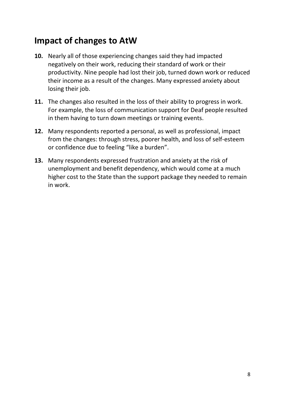### <span id="page-7-0"></span>**Impact of changes to AtW**

- **10.** Nearly all of those experiencing changes said they had impacted negatively on their work, reducing their standard of work or their productivity. Nine people had lost their job, turned down work or reduced their income as a result of the changes. Many expressed anxiety about losing their job.
- **11.** The changes also resulted in the loss of their ability to progress in work. For example, the loss of communication support for Deaf people resulted in them having to turn down meetings or training events.
- **12.** Many respondents reported a personal, as well as professional, impact from the changes: through stress, poorer health, and loss of self-esteem or confidence due to feeling "like a burden".
- **13.** Many respondents expressed frustration and anxiety at the risk of unemployment and benefit dependency, which would come at a much higher cost to the State than the support package they needed to remain in work.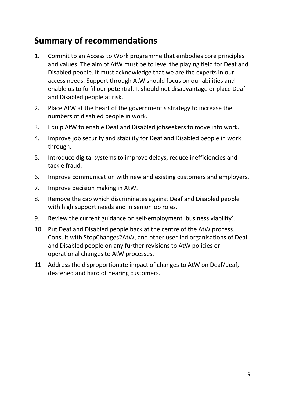### <span id="page-8-0"></span>**Summary of recommendations**

- 1. Commit to an Access to Work programme that embodies core principles and values. The aim of AtW must be to level the playing field for Deaf and Disabled people. It must acknowledge that we are the experts in our access needs. Support through AtW should focus on our abilities and enable us to fulfil our potential. It should not disadvantage or place Deaf and Disabled people at risk.
- 2. Place AtW at the heart of the government's strategy to increase the numbers of disabled people in work.
- 3. Equip AtW to enable Deaf and Disabled jobseekers to move into work.
- 4. Improve job security and stability for Deaf and Disabled people in work through.
- 5. Introduce digital systems to improve delays, reduce inefficiencies and tackle fraud.
- 6. Improve communication with new and existing customers and employers.
- 7. Improve decision making in AtW.
- 8. Remove the cap which discriminates against Deaf and Disabled people with high support needs and in senior job roles.
- 9. Review the current guidance on self-employment 'business viability'.
- 10. Put Deaf and Disabled people back at the centre of the AtW process. Consult with StopChanges2AtW, and other user-led organisations of Deaf and Disabled people on any further revisions to AtW policies or operational changes to AtW processes.
- 11. Address the disproportionate impact of changes to AtW on Deaf/deaf, deafened and hard of hearing customers.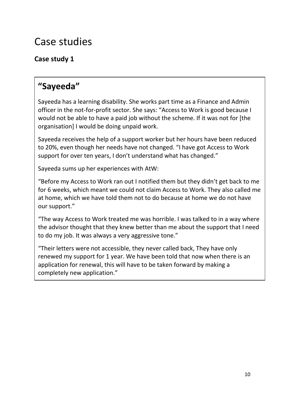# <span id="page-9-0"></span>Case studies

### **Case study 1**

### **"Sayeeda"**

Sayeeda has a learning disability. She works part time as a Finance and Admin officer in the not-for-profit sector. She says: "Access to Work is good because I would not be able to have a paid job without the scheme. If it was not for [the organisation] I would be doing unpaid work.

Sayeeda receives the help of a support worker but her hours have been reduced to 20%, even though her needs have not changed. "I have got Access to Work support for over ten years, I don't understand what has changed."

Sayeeda sums up her experiences with AtW:

"Before my Access to Work ran out I notified them but they didn't get back to me for 6 weeks, which meant we could not claim Access to Work. They also called me at home, which we have told them not to do because at home we do not have our support."

"The way Access to Work treated me was horrible. I was talked to in a way where the advisor thought that they knew better than me about the support that I need to do my job. It was always a very aggressive tone."

"Their letters were not accessible, they never called back, They have only renewed my support for 1 year. We have been told that now when there is an application for renewal, this will have to be taken forward by making a completely new application."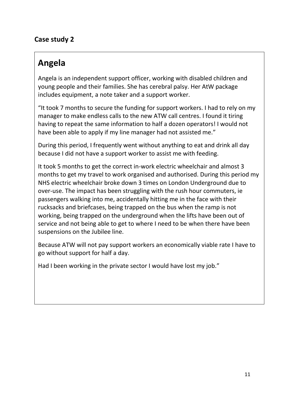#### **Case study 2**

### **Angela**

Angela is an independent support officer, working with disabled children and young people and their families. She has cerebral palsy. Her AtW package includes equipment, a note taker and a support worker.

"It took 7 months to secure the funding for support workers. I had to rely on my manager to make endless calls to the new ATW call centres. I found it tiring having to repeat the same information to half a dozen operators! I would not have been able to apply if my line manager had not assisted me."

During this period, I frequently went without anything to eat and drink all day because I did not have a support worker to assist me with feeding.

It took 5 months to get the correct in-work electric wheelchair and almost 3 months to get my travel to work organised and authorised. During this period my NHS electric wheelchair broke down 3 times on London Underground due to over-use. The impact has been struggling with the rush hour commuters, ie passengers walking into me, accidentally hitting me in the face with their rucksacks and briefcases, being trapped on the bus when the ramp is not working, being trapped on the underground when the lifts have been out of service and not being able to get to where I need to be when there have been suspensions on the Jubilee line.

Because ATW will not pay support workers an economically viable rate I have to go without support for half a day.

Had I been working in the private sector I would have lost my job."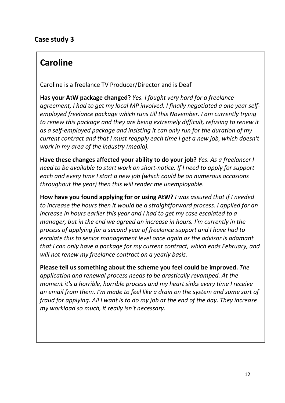#### **Case study 3**

### **Caroline**

Caroline is a freelance TV Producer/Director and is Deaf

**Has your AtW package changed?** *Yes. I fought very hard for a freelance agreement, I had to get my local MP involved. I finally negotiated a one year selfemployed freelance package which runs till this November. I am currently trying to renew this package and they are being extremely difficult, refusing to renew it as a self-employed package and insisting it can only run for the duration of my current contract and that I must reapply each time I get a new job, which doesn't work in my area of the industry (media).*

**Have these changes affected your ability to do your job?** *Yes. As a freelancer I need to be available to start work on short-notice. If I need to apply for support each and every time I start a new job (which could be on numerous occasions throughout the year) then this will render me unemployable.*

**How have you found applying for or using AtW?** *I was assured that if I needed to increase the hours then it would be a straightforward process. I applied for an increase in hours earlier this year and I had to get my case escalated to a manager, but in the end we agreed an increase in hours. I'm currently in the process of applying for a second year of freelance support and I have had to escalate this to senior management level once again as the advisor is adamant that I can only have a package for my current contract, which ends February, and will not renew my freelance contract on a yearly basis.*

**Please tell us something about the scheme you feel could be improved.** *The application and renewal process needs to be drastically revamped. At the moment it's a horrible, horrible process and my heart sinks every time I receive an email from them. I'm made to feel like a drain on the system and some sort of fraud for applying. All I want is to do my job at the end of the day. They increase my workload so much, it really isn't necessary.*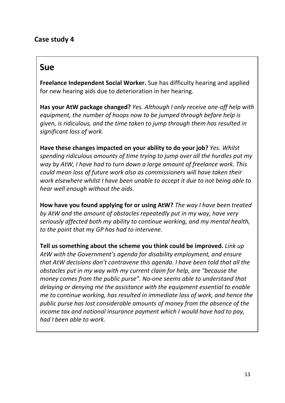#### **Case study 4**

### **Sue**

**Freelance Independent Social Worker.** Sue has difficulty hearing and applied for new hearing aids due to deterioration in her hearing.

**Has your AtW package changed?** *Yes. Although I only receive one-off help with equipment, the number of hoops now to be jumped through before help is given, is ridiculous, and the time taken to jump through them has resulted in significant loss of work.*

**Have these changes impacted on your ability to do your job?** *Yes. Whilst spending ridiculous amounts of time trying to jump over all the hurdles put my way by AtW, I have had to turn down a large amount of freelance work. This could mean loss of future work also as commissioners will have taken their work elsewhere whilst I have been unable to accept it due to not being able to hear well enough without the aids.*

**How have you found applying for or using AtW?** *The way I have been treated by AtW and the amount of obstacles repeatedly put in my way, have very seriously affected both my ability to continue working, and my mental health, to the point that my GP has had to intervene.*

**Tell us something about the scheme you think could be improved.** *Link up AtW with the Government's agenda for disability employment, and ensure that AtW decisions don't contravene this agenda. I have been told that all the obstacles put in my way with my current claim for help, are "because the money comes from the public purse". No-one seems able to understand that delaying or denying me the assistance with the equipment essential to enable me to continue working, has resulted in immediate loss of work, and hence the public purse has lost considerable amounts of money from the absence of the income tax and national insurance payment which I would have had to pay, had I been able to work.*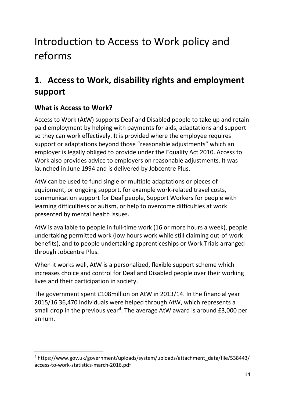# <span id="page-13-0"></span>Introduction to Access to Work policy and reforms

### <span id="page-13-1"></span>**1. Access to Work, disability rights and employment support**

### <span id="page-13-2"></span>**What is Access to Work?**

Access to Work (AtW) supports Deaf and Disabled people to take up and retain paid employment by helping with payments for aids, adaptations and support so they can work effectively. It is provided where the employee requires support or adaptations beyond those "reasonable adjustments" which an employer is legally obliged to provide under the Equality Act 2010. Access to Work also provides advice to employers on reasonable adjustments. It was launched in June 1994 and is delivered by Jobcentre Plus.

AtW can be used to fund single or multiple adaptations or pieces of equipment, or ongoing support, for example work-related travel costs, communication support for Deaf people, Support Workers for people with learning difficultiess or autism, or help to overcome difficulties at work presented by mental health issues.

AtW is available to people in full-time work (16 or more hours a week), people undertaking permitted work (low hours work while still claiming out-of-work benefits), and to people undertaking apprenticeships or Work Trials arranged through Jobcentre Plus.

When it works well, AtW is a personalized, flexible support scheme which increases choice and control for Deaf and Disabled people over their working lives and their participation in society.

The government spent £108million on AtW in 2013/14. In the financial year 2015/16 36,470 individuals were helped through AtW, which represents a small drop in the previous year<sup>[4](#page-13-3)</sup>. The average AtW award is around  $£3,000$  per annum.

<span id="page-13-3"></span> <sup>4</sup> https://www.gov.uk/government/uploads/system/uploads/attachment\_data/file/538443/ access-to-work-statistics-march-2016.pdf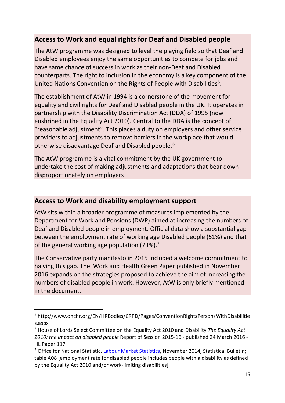#### <span id="page-14-0"></span>**Access to Work and equal rights for Deaf and Disabled people**

The AtW programme was designed to level the playing field so that Deaf and Disabled employees enjoy the same opportunities to compete for jobs and have same chance of success in work as their non-Deaf and Disabled counterparts. The right to inclusion in the economy is a key component of the United Nations Convention on the Rights of People with Disabilities<sup>[5](#page-14-2)</sup>.

The establishment of AtW in 1994 is a cornerstone of the movement for equality and civil rights for Deaf and Disabled people in the UK. It operates in partnership with the Disability Discrimination Act (DDA) of 1995 (now enshrined in the Equality Act 2010). Central to the DDA is the concept of "reasonable adjustment". This places a duty on employers and other service providers to adjustments to remove barriers in the workplace that would otherwise disadvantage Deaf and Disabled people.[6](#page-14-3)

The AtW programme is a vital commitment by the UK government to undertake the cost of making adjustments and adaptations that bear down disproportionately on employers

#### <span id="page-14-1"></span>**Access to Work and disability employment support**

AtW sits within a broader programme of measures implemented by the Department for Work and Pensions (DWP) aimed at increasing the numbers of Deaf and Disabled people in employment. Official data show a substantial gap between the employment rate of working age Disabled people (51%) and that of the general working age population ([7](#page-14-4)3%).<sup>7</sup>

The Conservative party manifesto in 2015 included a welcome commitment to halving this gap. The Work and Health Green Paper published in November 2016 expands on the strategies proposed to achieve the aim of increasing the numbers of disabled people in work. However, AtW is only briefly mentioned in the document.

<span id="page-14-2"></span> <sup>5</sup> http://www.ohchr.org/EN/HRBodies/CRPD/Pages/ConventionRightsPersonsWithDisabilitie s.aspx

<span id="page-14-3"></span><sup>6</sup> House of Lords Select Committee on the Equality Act 2010 and Disability *The Equality Act 2010: the impact on disabled people* Report of Session 2015-16 - published 24 March 2016 - HL Paper 117

<span id="page-14-4"></span><sup>&</sup>lt;sup>7</sup> Office for National Statistic, Labour Market Statistics, November 2014, Statistical Bulletin; table A08 [employment rate for disabled people includes people with a disability as defined by the Equality Act 2010 and/or work-limiting disabilities]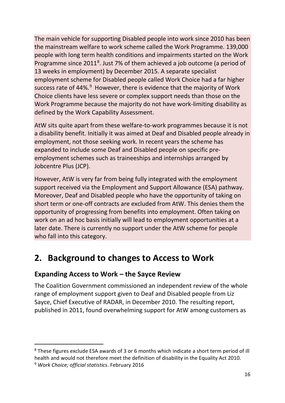The main vehicle for supporting Disabled people into work since 2010 has been the mainstream welfare to work scheme called the Work Programme. 139,000 people with long term health conditions and impairments started on the Work Programme since 2011<sup>[8](#page-15-2)</sup>. Just 7% of them achieved a job outcome (a period of 13 weeks in employment) by December 2015. A separate specialist employment scheme for Disabled people called Work Choice had a far higher success rate of 44%.<sup>[9](#page-15-3)</sup> However, there is evidence that the majority of Work Choice clients have less severe or complex support needs than those on the Work Programme because the majority do not have work-limiting disability as defined by the Work Capability Assessment.

AtW sits quite apart from these welfare-to-work programmes because it is not a disability benefit. Initially it was aimed at Deaf and Disabled people already in employment, not those seeking work. In recent years the scheme has expanded to include some Deaf and Disabled people on specific preemployment schemes such as traineeships and internships arranged by Jobcentre Plus (JCP).

However, AtW is very far from being fully integrated with the employment support received via the Employment and Support Allowance (ESA) pathway. Moreover, Deaf and Disabled people who have the opportunity of taking on short term or one-off contracts are excluded from AtW. This denies them the opportunity of progressing from benefits into employment. Often taking on work on an ad hoc basis initially will lead to employment opportunities at a later date. There is currently no support under the AtW scheme for people who fall into this category.

### <span id="page-15-0"></span>**2. Background to changes to Access to Work**

### <span id="page-15-1"></span>**Expanding Access to Work – the Sayce Review**

The Coalition Government commissioned an independent review of the whole range of employment support given to Deaf and Disabled people from Liz Sayce, Chief Executive of RADAR, in December 2010. The resulting report, published in 2011, found overwhelming support for AtW among customers as

<span id="page-15-3"></span><span id="page-15-2"></span><sup>&</sup>lt;sup>8</sup> These figures exclude ESA awards of 3 or 6 months which indicate a short term period of ill health and would not therefore meet the definition of disability in the Equality Act 2010. <sup>9</sup> *Work Choice; official statistics*. February 2016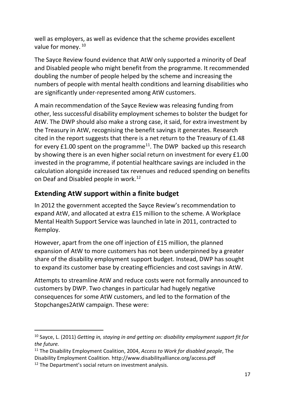well as employers, as well as evidence that the scheme provides excellent value for money.<sup>[10](#page-16-1)</sup>

The Sayce Review found evidence that AtW only supported a minority of Deaf and Disabled people who might benefit from the programme. It recommended doubling the number of people helped by the scheme and increasing the numbers of people with mental health conditions and learning disabilities who are significantly under-represented among AtW customers.

A main recommendation of the Sayce Review was releasing funding from other, less successful disability employment schemes to bolster the budget for AtW. The DWP should also make a strong case, it said, for extra investment by the Treasury in AtW, recognising the benefit savings it generates. Research cited in the report suggests that there is a net return to the Treasury of £1.48 for every  $£1.00$  spent on the programme<sup>[11](#page-16-2)</sup>. The DWP backed up this research by showing there is an even higher social return on investment for every £1.00 invested in the programme, if potential healthcare savings are included in the calculation alongside increased tax revenues and reduced spending on benefits on Deaf and Disabled people in work.<sup>[12](#page-16-3)</sup>

### <span id="page-16-0"></span>**Extending AtW support within a finite budget**

In 2012 the government accepted the Sayce Review's recommendation to expand AtW, and allocated at extra £15 million to the scheme. A Workplace Mental Health Support Service was launched in late in 2011, contracted to Remploy.

However, apart from the one off injection of £15 million, the planned expansion of AtW to more customers has not been underpinned by a greater share of the disability employment support budget. Instead, DWP has sought to expand its customer base by creating efficiencies and cost savings in AtW.

Attempts to streamline AtW and reduce costs were not formally announced to customers by DWP. Two changes in particular had hugely negative consequences for some AtW customers, and led to the formation of the Stopchanges2AtW campaign. These were:

<span id="page-16-1"></span> <sup>10</sup> Sayce, L. (2011) *Getting in, staying in and getting on: disability employment support fit for the future.*

<span id="page-16-2"></span><sup>11</sup> The Disability Employment Coalition, 2004, *Access to Work for disabled people*, The Disability Employment Coalition. http://www.disabilityalliance.org/access.pdf

<span id="page-16-3"></span><sup>&</sup>lt;sup>12</sup> The Department's social return on investment analysis.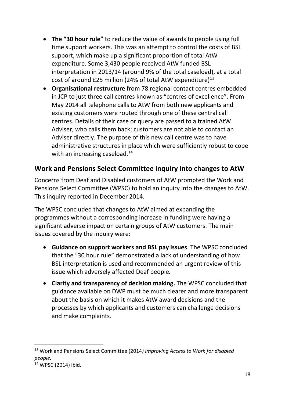- **The "30 hour rule"** to reduce the value of awards to people using full time support workers. This was an attempt to control the costs of BSL support, which make up a significant proportion of total AtW expenditure. Some 3,430 people received AtW funded BSL interpretation in 2013/14 (around 9% of the total caseload), at a total cost of around £25 million (24% of total AtW expenditure) $^{13}$  $^{13}$  $^{13}$
- **Organisational restructure** from 78 regional contact centres embedded in JCP to just three call centres known as "centres of excellence". From May 2014 all telephone calls to AtW from both new applicants and existing customers were routed through one of these central call centres. Details of their case or query are passed to a trained AtW Adviser, who calls them back; customers are not able to contact an Adviser directly. The purpose of this new call centre was to have administrative structures in place which were sufficiently robust to cope with an increasing caseload. $14$

#### <span id="page-17-0"></span>**Work and Pensions Select Committee inquiry into changes to AtW**

Concerns from Deaf and Disabled customers of AtW prompted the Work and Pensions Select Committee (WPSC) to hold an inquiry into the changes to AtW. This inquiry reported in December 2014.

The WPSC concluded that changes to AtW aimed at expanding the programmes without a corresponding increase in funding were having a significant adverse impact on certain groups of AtW customers. The main issues covered by the inquiry were:

- **Guidance on support workers and BSL pay issues**. The WPSC concluded that the "30 hour rule" demonstrated a lack of understanding of how BSL interpretation is used and recommended an urgent review of this issue which adversely affected Deaf people*.*
- **Clarity and transparency of decision making.** The WPSC concluded that guidance available on DWP must be much clearer and more transparent about the basis on which it makes AtW award decisions and the processes by which applicants and customers can challenge decisions and make complaints.

<span id="page-17-1"></span> <sup>13</sup> Work and Pensions Select Committee (2014*) Improving Access to Work for disabled people.*

<span id="page-17-2"></span><sup>14</sup> WPSC (2014) ibid.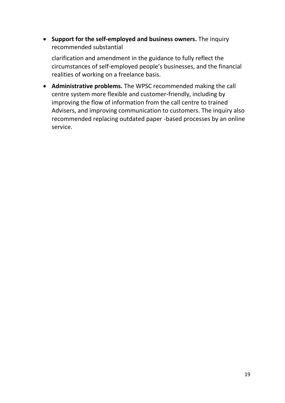• **Support for the self-employed and business owners.** The inquiry recommended substantial

clarification and amendment in the guidance to fully reflect the circumstances of self-employed people's businesses, and the financial realities of working on a freelance basis.

• **Administrative problems.** The WPSC recommended making the call centre system more flexible and customer-friendly, including by improving the flow of information from the call centre to trained Advisers, and improving communication to customers. The inquiry also recommended replacing outdated paper -based processes by an online service.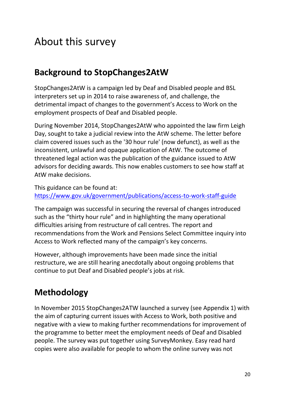# <span id="page-19-0"></span>About this survey

### <span id="page-19-1"></span>**Background to StopChanges2AtW**

StopChanges2AtW is a campaign led by Deaf and Disabled people and BSL interpreters set up in 2014 to raise awareness of, and challenge, the detrimental impact of changes to the government's Access to Work on the employment prospects of Deaf and Disabled people.

During November 2014, StopChanges2AtW who appointed the law firm Leigh Day, sought to take a judicial review into the AtW scheme. The letter before claim covered issues such as the '30 hour rule' (now defunct), as well as the inconsistent, unlawful and opaque application of AtW. The outcome of threatened legal action was the publication of the guidance issued to AtW advisors for deciding awards. This now enables customers to see how staff at AtW make decisions.

This guidance can be found at: <https://www.gov.uk/government/publications/access-to-work-staff-guide>

The campaign was successful in securing the reversal of changes introduced such as the "thirty hour rule" and in highlighting the many operational difficulties arising from restructure of call centres. The report and recommendations from the Work and Pensions Select Committee inquiry into Access to Work reflected many of the campaign's key concerns.

However, although improvements have been made since the initial restructure, we are still hearing anecdotally about ongoing problems that continue to put Deaf and Disabled people's jobs at risk.

## <span id="page-19-2"></span>**Methodology**

In November 2015 StopChanges2ATW launched a survey (see Appendix 1) with the aim of capturing current issues with Access to Work, both positive and negative with a view to making further recommendations for improvement of the programme to better meet the employment needs of Deaf and Disabled people. The survey was put together using SurveyMonkey. Easy read hard copies were also available for people to whom the online survey was not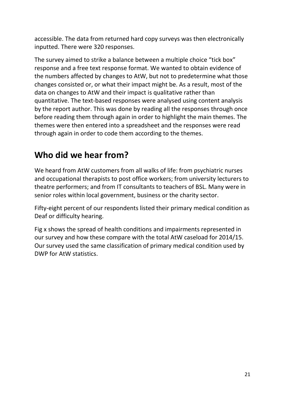accessible. The data from returned hard copy surveys was then electronically inputted. There were 320 responses.

The survey aimed to strike a balance between a multiple choice "tick box" response and a free text response format. We wanted to obtain evidence of the numbers affected by changes to AtW, but not to predetermine what those changes consisted or, or what their impact might be. As a result, most of the data on changes to AtW and their impact is qualitative rather than quantitative. The text-based responses were analysed using content analysis by the report author. This was done by reading all the responses through once before reading them through again in order to highlight the main themes. The themes were then entered into a spreadsheet and the responses were read through again in order to code them according to the themes.

### <span id="page-20-0"></span>**Who did we hear from?**

We heard from AtW customers from all walks of life: from psychiatric nurses and occupational therapists to post office workers; from university lecturers to theatre performers; and from IT consultants to teachers of BSL. Many were in senior roles within local government, business or the charity sector.

Fifty-eight percent of our respondents listed their primary medical condition as Deaf or difficulty hearing.

Fig x shows the spread of health conditions and impairments represented in our survey and how these compare with the total AtW caseload for 2014/15. Our survey used the same classification of primary medical condition used by DWP for AtW statistics.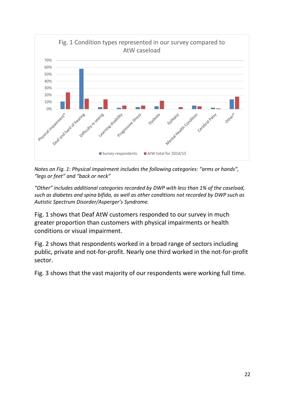

*Notes on Fig. 1: Physical impairment includes the following categories: "arms or hands", "legs or feet" and "back or neck"*

*"Other" includes additional categories recorded by DWP with less than 1% of the caseload, such as diabetes and spina bifida, as well as other conditions not recorded by DWP such as Autistic Spectrum Disorder/Asperger's Syndrome.*

Fig. 1 shows that Deaf AtW customers responded to our survey in much greater proportion than customers with physical impairments or health conditions or visual impairment.

Fig. 2 shows that respondents worked in a broad range of sectors including public, private and not-for-profit. Nearly one third worked in the not-for-profit sector.

Fig. 3 shows that the vast majority of our respondents were working full time.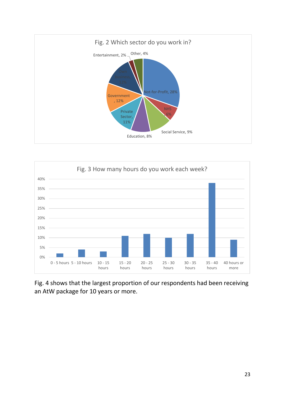



Fig. 4 shows that the largest proportion of our respondents had been receiving an AtW package for 10 years or more.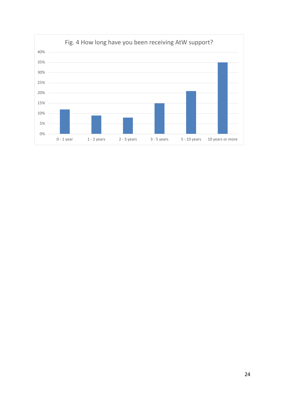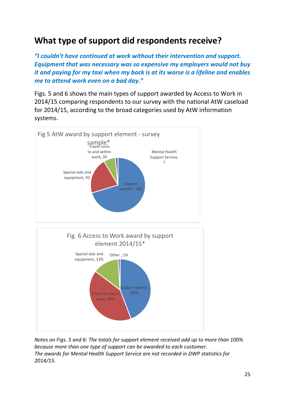### <span id="page-24-0"></span>**What type of support did respondents receive?**

*"I couldn't have continued at work without their intervention and support. Equipment that was necessary was so expensive my employers would not buy it and paying for my taxi when my back is at its worse is a lifeline and enables me to attend work even on a bad day."*

Figs. 5 and 6 shows the main types of support awarded by Access to Work in 2014/15 comparing respondents to our survey with the national AtW caseload for 2014/15, according to the broad categories used by AtW information systems.





*Notes on Figs. 5 and 6: The totals for support element received add up to more than 100% because more than one type of support can be awarded to each customer. The awards for Mental Health Support Service are not recorded in DWP statistics for 2014/15.*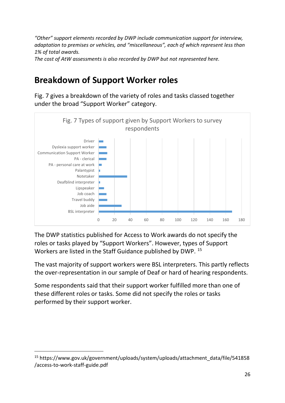*"Other" support elements recorded by DWP include communication support for interview, adaptation to premises or vehicles, and "miscellaneous", each of which represent less than 1% of total awards.*

<span id="page-25-0"></span>*The cost of AtW assessments is also recorded by DWP but not represented here.*

### **Breakdown of Support Worker roles**

Fig. 7 gives a breakdown of the variety of roles and tasks classed together under the broad "Support Worker" category.



The DWP statistics published for Access to Work awards do not specify the roles or tasks played by "Support Workers". However, types of Support Workers are listed in the Staff Guidance published by DWP. [15](#page-25-1)

The vast majority of support workers were BSL interpreters. This partly reflects the over-representation in our sample of Deaf or hard of hearing respondents.

Some respondents said that their support worker fulfilled more than one of these different roles or tasks. Some did not specify the roles or tasks performed by their support worker.

<span id="page-25-1"></span> <sup>15</sup> https://www.gov.uk/government/uploads/system/uploads/attachment\_data/file/541858 /access-to-work-staff-guide.pdf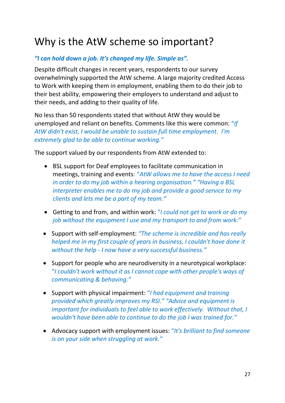# <span id="page-26-0"></span>Why is the AtW scheme so important?

#### *"I can hold down a job. It's changed my life. Simple as".*

Despite difficult changes in recent years, respondents to our survey overwhelmingly supported the AtW scheme. A large majority credited Access to Work with keeping them in employment, enabling them to do their job to their best ability, empowering their employers to understand and adjust to their needs, and adding to their quality of life.

No less than 50 respondents stated that without AtW they would be unemployed and reliant on benefits. Comments like this were common: "*If AtW didn't exist, I would be unable to sustain full time employment. I'm extremely glad to be able to continue working."*

The support valued by our respondents from AtW extended to:

- BSL support for Deaf employees to facilitate communication in meetings, training and events: "*AtW allows me to have the access I need in order to do my job within a hearing organisation." "Having a BSL interpreter enables me to do my job and provide a good service to my clients and lets me be a part of my team."*
- Getting to and from, and within work: "*I could not get to work or do my job without the equipment I use and my transport to and from work."*
- Support with self-employment: *"The scheme is incredible and has really helped me in my first couple of years in business, I couldn't have done it without the help - I now have a very successful business."*
- Support for people who are neurodiversity in a neurotypical workplace: "*I couldn't work without it as I cannot cope with other people's ways of communicating & behaving."*
- Support with physical impairment: "*I had equipment and training provided which greatly improves my RSI." "Advice and equipment is important for individuals to feel able to work effectively. Without that, I wouldn't have been able to continue to do the job I was trained for."*
- Advocacy support with employment issues: "*It's brilliant to find someone is on your side when struggling at work."*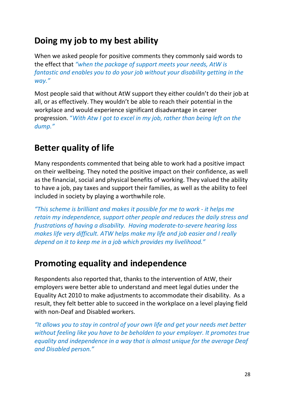### <span id="page-27-0"></span>**Doing my job to my best ability**

When we asked people for positive comments they commonly said words to the effect that *"when the package of support meets your needs, AtW is fantastic and enables you to do your job without your disability getting in the way."*

Most people said that without AtW support they either couldn't do their job at all, or as effectively. They wouldn't be able to reach their potential in the workplace and would experience significant disadvantage in career progression. "*With Atw I got to excel in my job, rather than being left on the dump."*

### <span id="page-27-1"></span>**Better quality of life**

Many respondents commented that being able to work had a positive impact on their wellbeing. They noted the positive impact on their confidence, as well as the financial, social and physical benefits of working. They valued the ability to have a job, pay taxes and support their families, as well as the ability to feel included in society by playing a worthwhile role.

*"This scheme is brilliant and makes it possible for me to work - it helps me retain my independence, support other people and reduces the daily stress and frustrations of having a disability. Having moderate-to-severe hearing loss makes life very difficult. ATW helps make my life and job easier and I really depend on it to keep me in a job which provides my livelihood."*

### <span id="page-27-2"></span>**Promoting equality and independence**

Respondents also reported that, thanks to the intervention of AtW, their employers were better able to understand and meet legal duties under the Equality Act 2010 to make adjustments to accommodate their disability. As a result, they felt better able to succeed in the workplace on a level playing field with non-Deaf and Disabled workers.

*"It allows you to stay in control of your own life and get your needs met better without feeling like you have to be beholden to your employer. It promotes true equality and independence in a way that is almost unique for the average Deaf and Disabled person."*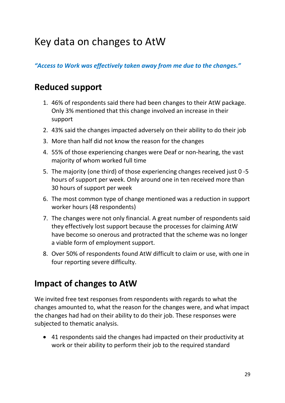# <span id="page-28-0"></span>Key data on changes to AtW

*"Access to Work was effectively taken away from me due to the changes."*

### <span id="page-28-1"></span>**Reduced support**

- 1. 46% of respondents said there had been changes to their AtW package. Only 3% mentioned that this change involved an increase in their support
- 2. 43% said the changes impacted adversely on their ability to do their job
- 3. More than half did not know the reason for the changes
- 4. 55% of those experiencing changes were Deaf or non-hearing, the vast majority of whom worked full time
- 5. The majority (one third) of those experiencing changes received just 0 -5 hours of support per week. Only around one in ten received more than 30 hours of support per week
- 6. The most common type of change mentioned was a reduction in support worker hours (48 respondents)
- 7. The changes were not only financial. A great number of respondents said they effectively lost support because the processes for claiming AtW have become so onerous and protracted that the scheme was no longer a viable form of employment support.
- 8. Over 50% of respondents found AtW difficult to claim or use, with one in four reporting severe difficulty.

### <span id="page-28-2"></span>**Impact of changes to AtW**

We invited free text responses from respondents with regards to what the changes amounted to, what the reason for the changes were, and what impact the changes had had on their ability to do their job. These responses were subjected to thematic analysis.

• 41 respondents said the changes had impacted on their productivity at work or their ability to perform their job to the required standard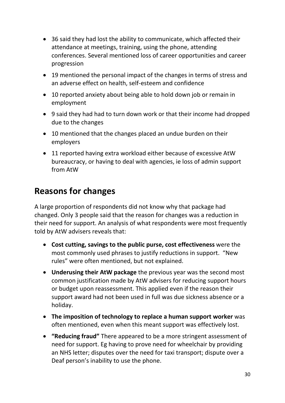- 36 said they had lost the ability to communicate, which affected their attendance at meetings, training, using the phone, attending conferences. Several mentioned loss of career opportunities and career progression
- 19 mentioned the personal impact of the changes in terms of stress and an adverse effect on health, self-esteem and confidence
- 10 reported anxiety about being able to hold down job or remain in employment
- 9 said they had had to turn down work or that their income had dropped due to the changes
- 10 mentioned that the changes placed an undue burden on their employers
- 11 reported having extra workload either because of excessive AtW bureaucracy, or having to deal with agencies, ie loss of admin support from AtW

### <span id="page-29-0"></span>**Reasons for changes**

A large proportion of respondents did not know why that package had changed. Only 3 people said that the reason for changes was a reduction in their need for support. An analysis of what respondents were most frequently told by AtW advisers reveals that:

- **Cost cutting, savings to the public purse, cost effectiveness** were the most commonly used phrases to justify reductions in support. "New rules" were often mentioned, but not explained.
- **Underusing their AtW package** the previous year was the second most common justification made by AtW advisers for reducing support hours or budget upon reassessment. This applied even if the reason their support award had not been used in full was due sickness absence or a holiday.
- **The imposition of technology to replace a human support worker** was often mentioned, even when this meant support was effectively lost.
- **"Reducing fraud"** There appeared to be a more stringent assessment of need for support. Eg having to prove need for wheelchair by providing an NHS letter; disputes over the need for taxi transport; dispute over a Deaf person's inability to use the phone.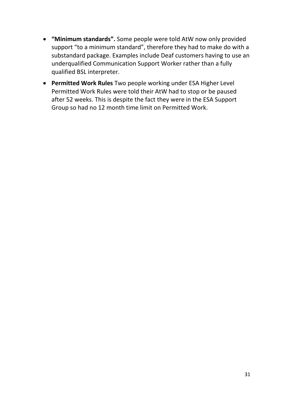- **"Minimum standards".** Some people were told AtW now only provided support "to a minimum standard", therefore they had to make do with a substandard package. Examples include Deaf customers having to use an underqualified Communication Support Worker rather than a fully qualified BSL interpreter.
- **Permitted Work Rules** Two people working under ESA Higher Level Permitted Work Rules were told their AtW had to stop or be paused after 52 weeks. This is despite the fact they were in the ESA Support Group so had no 12 month time limit on Permitted Work.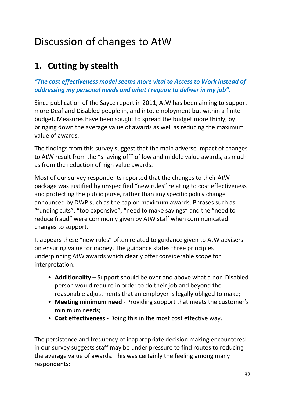# <span id="page-31-0"></span>Discussion of changes to AtW

### <span id="page-31-1"></span>**1. Cutting by stealth**

#### *"The cost effectiveness model seems more vital to Access to Work instead of addressing my personal needs and what I require to deliver in my job".*

Since publication of the Sayce report in 2011, AtW has been aiming to support more Deaf and Disabled people in, and into, employment but within a finite budget. Measures have been sought to spread the budget more thinly, by bringing down the average value of awards as well as reducing the maximum value of awards.

The findings from this survey suggest that the main adverse impact of changes to AtW result from the "shaving off" of low and middle value awards, as much as from the reduction of high value awards.

Most of our survey respondents reported that the changes to their AtW package was justified by unspecified "new rules" relating to cost effectiveness and protecting the public purse, rather than any specific policy change announced by DWP such as the cap on maximum awards. Phrases such as "funding cuts", "too expensive", "need to make savings" and the "need to reduce fraud" were commonly given by AtW staff when communicated changes to support.

It appears these "new rules" often related to guidance given to AtW advisers on ensuring value for money. The guidance states three principles underpinning AtW awards which clearly offer considerable scope for interpretation:

- **Additionality** Support should be over and above what a non-Disabled person would require in order to do their job and beyond the reasonable adjustments that an employer is legally obliged to make;
- **Meeting minimum need** Providing support that meets the customer's minimum needs;
- **Cost effectiveness** Doing this in the most cost effective way.

The persistence and frequency of inappropriate decision making encountered in our survey suggests staff may be under pressure to find routes to reducing the average value of awards. This was certainly the feeling among many respondents: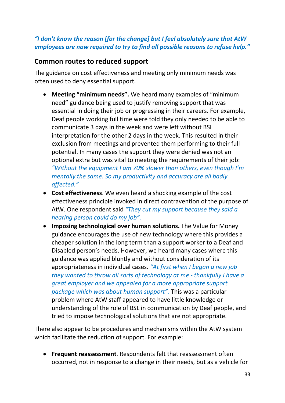#### *"I don't know the reason [for the change] but I feel absolutely sure that AtW employees are now required to try to find all possible reasons to refuse help."*

#### <span id="page-32-0"></span>**Common routes to reduced support**

The guidance on cost effectiveness and meeting only minimum needs was often used to deny essential support.

- **Meeting "minimum needs".** We heard many examples of "minimum need" guidance being used to justify removing support that was essential in doing their job or progressing in their careers. For example, Deaf people working full time were told they only needed to be able to communicate 3 days in the week and were left without BSL interpretation for the other 2 days in the week. This resulted in their exclusion from meetings and prevented them performing to their full potential. In many cases the support they were denied was not an optional extra but was vital to meeting the requirements of their job: *"Without the equipment I am 70% slower than others, even though I'm mentally the same. So my productivity and accuracy are all badly affected."*
- **Cost effectiveness**. We even heard a shocking example of the cost effectiveness principle invoked in direct contravention of the purpose of AtW. One respondent said *"They cut my support because they said a hearing person could do my job".*
- **Imposing technological over human solutions.** The Value for Money guidance encourages the use of new technology where this provides a cheaper solution in the long term than a support worker to a Deaf and Disabled person's needs. However, we heard many cases where this guidance was applied bluntly and without consideration of its appropriateness in individual cases. *"At first when I began a new job they wanted to throw all sorts of technology at me - thankfully I have a great employer and we appealed for a more appropriate support package which was about human support".* This was a particular problem where AtW staff appeared to have little knowledge or understanding of the role of BSL in communication by Deaf people, and tried to impose technological solutions that are not appropriate.

There also appear to be procedures and mechanisms within the AtW system which facilitate the reduction of support. For example:

• **Frequent reassessment**. Respondents felt that reassessment often occurred, not in response to a change in their needs, but as a vehicle for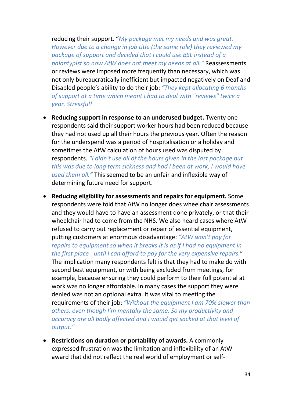reducing their support. "*My package met my needs and was great. However due to a change in job title (the same role) they reviewed my package of support and decided that I could use BSL instead of a palantypist so now AtW does not meet my needs at all."* Reassessments or reviews were imposed more frequently than necessary, which was not only bureaucratically inefficient but impacted negatively on Deaf and Disabled people's ability to do their job: *"They kept allocating 6 months of support at a time which meant I had to deal with "reviews" twice a year. Stressful!*

- **Reducing support in response to an underused budget.** Twenty one respondents said their support worker hours had been reduced because they had not used up all their hours the previous year. Often the reason for the underspend was a period of hospitalisation or a holiday and sometimes the AtW calculation of hours used was disputed by respondents. *"I didn't use all of the hours given in the last package but this was due to long term sickness and had I been at work, I would have used them all."* This seemed to be an unfair and inflexible way of determining future need for support.
- **Reducing eligibility for assessments and repairs for equipment.** Some respondents were told that AtW no longer does wheelchair assessments and they would have to have an assessment done privately, or that their wheelchair had to come from the NHS. We also heard cases where AtW refused to carry out replacement or repair of essential equipment, putting customers at enormous disadvantage: *"AtW won't pay for repairs to equipment so when it breaks it is as if I had no equipment in the first place - until I can afford to pay for the very expensive repairs.*" The implication many respondents felt is that they had to make do with second best equipment, or with being excluded from meetings, for example, because ensuring they could perform to their full potential at work was no longer affordable. In many cases the support they were denied was not an optional extra. It was vital to meeting the requirements of their job: *"Without the equipment I am 70% slower than others, even though I'm mentally the same. So my productivity and accuracy are all badly affected and I would get sacked at that level of output."*
- **Restrictions on duration or portability of awards.** A commonly expressed frustration was the limitation and inflexibility of an AtW award that did not reflect the real world of employment or self-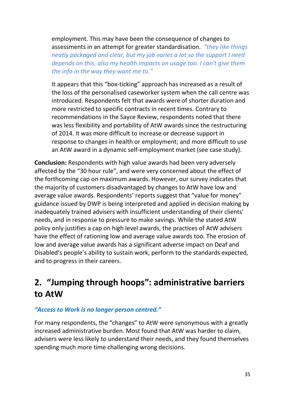employment. This may have been the consequence of changes to assessments in an attempt for greater standardisation. *"they like things neatly packaged and clear, but my job varies a lot so the support I need depends on this, also my health impacts on usage too. I can't give them the info in the way they want me to."* 

It appears that this "box-ticking" approach has increased as a result of the loss of the personalised caseworker system when the call centre was introduced. Respondents felt that awards were of shorter duration and more restricted to specific contracts in recent times. Contrary to recommendations in the Sayce Review, respondents noted that there was less flexibility and portability of AtW awards since the restructuring of 2014. It was more difficult to increase or decrease support in response to changes in health or employment; and more difficult to use an AtW award in a dynamic self-employment market (see case study).

**Conclusion:** Respondents with high value awards had been very adversely affected by the "30 hour rule", and were very concerned about the effect of the forthcoming cap on maximum awards. However, our survey indicates that the majority of customers disadvantaged by changes to AtW have low and average value awards. Respondents' reports suggest that "value for money" guidance issued by DWP is being interpreted and applied in decision making by inadequately trained advisers with insufficient understanding of their clients' needs, and in response to pressure to make savings. While the stated AtW policy only justifies a cap on high level awards, the practices of AtW advisers have the effect of rationing low and average value awards too. The erosion of low and average value awards has a significant adverse impact on Deaf and Disabled's people's ability to sustain work, perform to the standards expected, and to progress in their careers.

### <span id="page-34-0"></span>**2. "Jumping through hoops": administrative barriers to AtW**

#### *"Access to Work is no longer person centred."*

For many respondents, the "changes" to AtW were synonymous with a greatly increased administrative burden. Most found that AtW was harder to claim, advisers were less likely to understand their needs, and they found themselves spending much more time challenging wrong decisions.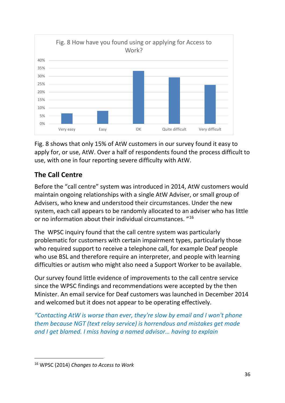

Fig. 8 shows that only 15% of AtW customers in our survey found it easy to apply for, or use, AtW. Over a half of respondents found the process difficult to use, with one in four reporting severe difficulty with AtW.

### <span id="page-35-0"></span>**The Call Centre**

Before the "call centre" system was introduced in 2014, AtW customers would maintain ongoing relationships with a single AtW Adviser, or small group of Advisers, who knew and understood their circumstances. Under the new system, each call appears to be randomly allocated to an adviser who has little or no information about their individual circumstances. "[16](#page-35-1) 

The WPSC inquiry found that the call centre system was particularly problematic for customers with certain impairment types, particularly those who required support to receive a telephone call, for example Deaf people who use BSL and therefore require an interpreter, and people with learning difficulties or autism who might also need a Support Worker to be available.

Our survey found little evidence of improvements to the call centre service since the WPSC findings and recommendations were accepted by the then Minister. An email service for Deaf customers was launched in December 2014 and welcomed but it does not appear to be operating effectively.

*"Contacting AtW is worse than ever, they're slow by email and I won't phone them because NGT (text relay service) is horrendous and mistakes get made and I get blamed. I miss having a named advisor… having to explain* 

<span id="page-35-1"></span> <sup>16</sup> WPSC (2014) *Changes to Access to Work*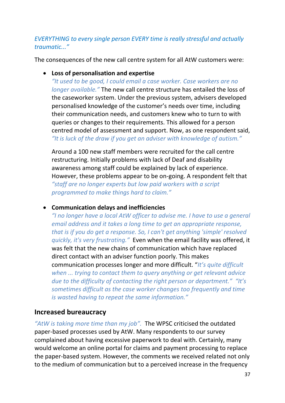#### *EVERYTHING to every single person EVERY time is really stressful and actually traumatic..."*

The consequences of the new call centre system for all AtW customers were:

• **Loss of personalisation and expertise** *"It used to be good, I could email a case worker. Case workers are no longer available."* The new call centre structure has entailed the loss of the caseworker system. Under the previous system, advisers developed personalised knowledge of the customer's needs over time, including their communication needs, and customers knew who to turn to with queries or changes to their requirements. This allowed for a person centred model of assessment and support. Now, as one respondent said, *"It is luck of the draw if you get an adviser with knowledge of autism."*

Around a 100 new staff members were recruited for the call centre restructuring. Initially problems with lack of Deaf and disability awareness among staff could be explained by lack of experience. However, these problems appear to be on-going. A respondent felt that *"staff are no longer experts but low paid workers with a script programmed to make things hard to claim."*

• **Communication delays and inefficiencies**

*"I no longer have a local AtW officer to advise me. I have to use a general email address and it takes a long time to get an appropriate response, that is if you do get a response. So, I can't get anything 'simple' resolved quickly, it's very frustrating."* Even when the email facility was offered, it was felt that the new chains of communication which have replaced direct contact with an adviser function poorly. This makes communication processes longer and more difficult. "*It's quite difficult when ... trying to contact them to query anything or get relevant advice due to the difficulty of contacting the right person or department." "It's sometimes difficult as the case worker changes too frequently and time is wasted having to repeat the same information."*

### <span id="page-36-0"></span>**Increased bureaucracy**

*"AtW is taking more time than my job".* The WPSC criticised the outdated paper-based processes used by AtW. Many respondents to our survey complained about having excessive paperwork to deal with. Certainly, many would welcome an online portal for claims and payment processing to replace the paper-based system. However, the comments we received related not only to the medium of communication but to a perceived increase in the frequency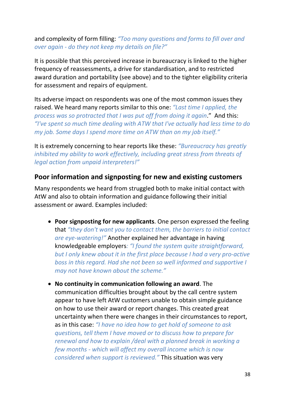and complexity of form filling: *"Too many questions and forms to fill over and over again - do they not keep my details on file?"*

It is possible that this perceived increase in bureaucracy is linked to the higher frequency of reassessments, a drive for standardisation, and to restricted award duration and portability (see above) and to the tighter eligibility criteria for assessment and repairs of equipment.

Its adverse impact on respondents was one of the most common issues they raised. We heard many reports similar to this one: *"Last time I applied, the process was so protracted that I was put off from doing it again*." And this: *"I've spent so much time dealing with ATW that I've actually had less time to do my job. Some days I spend more time on ATW than on my job itself."*

It is extremely concerning to hear reports like these: *"Bureaucracy has greatly inhibited my ability to work effectively, including great stress from threats of legal action from unpaid interpreters!"*

#### <span id="page-37-0"></span>**Poor information and signposting for new and existing customers**

Many respondents we heard from struggled both to make initial contact with AtW and also to obtain information and guidance following their initial assessment or award. Examples included:

- **Poor signposting for new applicants**. One person expressed the feeling that *"they don't want you to contact them, the barriers to initial contact are eye-watering!"* Another explained her advantage in having knowledgeable employers*: "I found the system quite straightforward, but I only knew about it in the first place because I had a very pro-active boss in this regard. Had she not been so well informed and supportive I may not have known about the scheme."*
- **No continuity in communication following an award**. The communication difficulties brought about by the call centre system appear to have left AtW customers unable to obtain simple guidance on how to use their award or report changes. This created great uncertainty when there were changes in their circumstances to report, as in this case: *"I have no idea how to get hold of someone to ask questions, tell them I have moved or to discuss how to prepare for renewal and how to explain /deal with a planned break in working a few months - which will affect my overall income which is now considered when support is reviewed."* This situation was very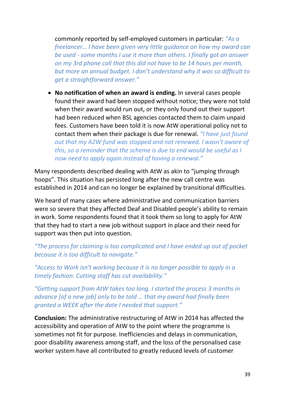commonly reported by self-employed customers in particular: *"As a freelancer… I have been given very little guidance on how my award can be used - some months I use it more than others. I finally got an answer on my 3rd phone call that this did not have to be 14 hours per month, but more an annual budget. I don't understand why it was so difficult to get a straightforward answer."*

• **No notification of when an award is ending.** In several cases people found their award had been stopped without notice; they were not told when their award would run out, or they only found out their support had been reduced when BSL agencies contacted them to claim unpaid fees. Customers have been told it is now AtW operational policy not to contact them when their package is due for renewal. *"I have just found out that my A2W fund was stopped and not renewed. I wasn't aware of this, so a reminder that the scheme is due to end would be useful as I now need to apply again instead of having a renewal."*

Many respondents described dealing with AtW as akin to "jumping through hoops". This situation has persisted long after the new call centre was established in 2014 and can no longer be explained by transitional difficulties.

We heard of many cases where administrative and communication barriers were so severe that they affected Deaf and Disabled people's ability to remain in work. Some respondents found that it took them so long to apply for AtW that they had to start a new job without support in place and their need for support was then put into question.

*"The process for claiming is too complicated and I have ended up out of pocket because it is too difficult to navigate."*

*"Access to Work isn't working because it is no longer possible to apply in a timely fashion. Cutting staff has cut availability."*

*"Getting support from AtW takes too long. I started the process 3 months in advance [of a new job] only to be told … that my award had finally been granted a WEEK after the date I needed that support."*

**Conclusion:** The administrative restructuring of AtW in 2014 has affected the accessibility and operation of AtW to the point where the programme is sometimes not fit for purpose. Inefficiencies and delays in communication, poor disability awareness among staff, and the loss of the personalised case worker system have all contributed to greatly reduced levels of customer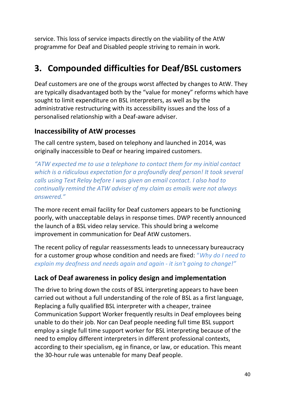service. This loss of service impacts directly on the viability of the AtW programme for Deaf and Disabled people striving to remain in work.

### <span id="page-39-0"></span>**3. Compounded difficulties for Deaf/BSL customers**

Deaf customers are one of the groups worst affected by changes to AtW. They are typically disadvantaged both by the "value for money" reforms which have sought to limit expenditure on BSL interpreters, as well as by the administrative restructuring with its accessibility issues and the loss of a personalised relationship with a Deaf-aware adviser.

#### <span id="page-39-1"></span>**Inaccessibility of AtW processes**

The call centre system, based on telephony and launched in 2014, was originally inaccessible to Deaf or hearing impaired customers.

*"ATW expected me to use a telephone to contact them for my initial contact which is a ridiculous expectation for a profoundly deaf person! It took several calls using Text Relay before I was given an email contact. I also had to continually remind the ATW adviser of my claim as emails were not always answered."*

The more recent email facility for Deaf customers appears to be functioning poorly, with unacceptable delays in response times. DWP recently announced the launch of a BSL video relay service. This should bring a welcome improvement in communication for Deaf AtW customers.

The recent policy of regular reassessments leads to unnecessary bureaucracy for a customer group whose condition and needs are fixed: "*Why do I need to explain my deafness and needs again and again - it isn't going to change!"*

### <span id="page-39-2"></span>**Lack of Deaf awareness in policy design and implementation**

The drive to bring down the costs of BSL interpreting appears to have been carried out without a full understanding of the role of BSL as a first language, Replacing a fully qualified BSL interpreter with a cheaper, trainee Communication Support Worker frequently results in Deaf employees being unable to do their job. Nor can Deaf people needing full time BSL support employ a single full time support worker for BSL interpreting because of the need to employ different interpreters in different professional contexts, according to their specialism, eg in finance, or law, or education. This meant the 30-hour rule was untenable for many Deaf people.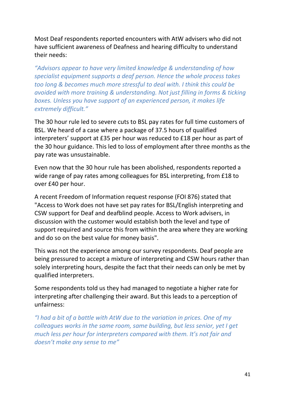Most Deaf respondents reported encounters with AtW advisers who did not have sufficient awareness of Deafness and hearing difficulty to understand their needs:

*"Advisors appear to have very limited knowledge & understanding of how specialist equipment supports a deaf person. Hence the whole process takes too long & becomes much more stressful to deal with. I think this could be avoided with more training & understanding. Not just filling in forms & ticking boxes. Unless you have support of an experienced person, it makes life extremely difficult."*

The 30 hour rule led to severe cuts to BSL pay rates for full time customers of BSL. We heard of a case where a package of 37.5 hours of qualified interpreters' support at £35 per hour was reduced to £18 per hour as part of the 30 hour guidance. This led to loss of employment after three months as the pay rate was unsustainable.

Even now that the 30 hour rule has been abolished, respondents reported a wide range of pay rates among colleagues for BSL interpreting, from £18 to over £40 per hour.

A recent Freedom of Information request response (FOI 876) stated that "Access to Work does not have set pay rates for BSL/English interpreting and CSW support for Deaf and deafblind people. Access to Work advisers, in discussion with the customer would establish both the level and type of support required and source this from within the area where they are working and do so on the best value for money basis".

This was not the experience among our survey respondents. Deaf people are being pressured to accept a mixture of interpreting and CSW hours rather than solely interpreting hours, despite the fact that their needs can only be met by qualified interpreters.

Some respondents told us they had managed to negotiate a higher rate for interpreting after challenging their award. But this leads to a perception of unfairness:

*"I had a bit of a battle with AtW due to the variation in prices. One of my colleagues works in the same room, same building, but less senior, yet I get much less per hour for interpreters compared with them. It's not fair and doesn't make any sense to me"*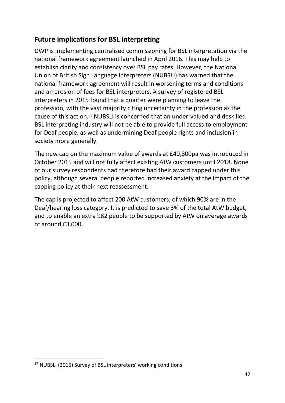### <span id="page-41-0"></span>**Future implications for BSL interpreting**

DWP is implementing centralised commissioning for BSL interpretation via the national framework agreement launched in April 2016. This may help to establish clarity and consistency over BSL pay rates. However, the National Union of British Sign Language Interpreters (NUBSLI) has warned that the national framework agreement will result in worsening terms and conditions and an erosion of fees for BSL interpreters. A survey of registered BSL interpreters in 2015 found that a quarter were planning to leave the profession, with the vast majority citing uncertainty in the profession as the cause of this action.[17](#page-41-1) NUBSLI is concerned that an under-valued and deskilled BSL interpreting industry will not be able to provide full access to employment for Deaf people, as well as undermining Deaf people rights and inclusion in society more generally.

The new cap on the maximum value of awards at £40,800pa was introduced in October 2015 and will not fully affect existing AtW customers until 2018. None of our survey respondents had therefore had their award capped under this policy, although several people reported increased anxiety at the impact of the capping policy at their next reassessment.

The cap is projected to affect 200 AtW customers, of which 90% are in the Deaf/hearing loss category. It is predicted to save 3% of the total AtW budget, and to enable an extra 982 people to be supported by AtW on average awards of around £3,000.

<span id="page-41-1"></span><sup>&</sup>lt;sup>17</sup> NUBSLI (2015) Survey of BSL interpreters' working conditions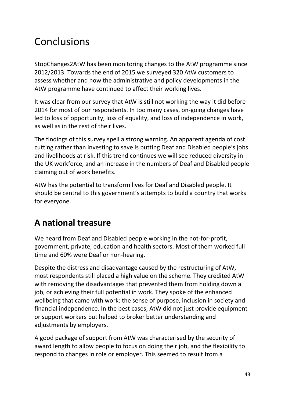# <span id="page-42-0"></span>Conclusions

StopChanges2AtW has been monitoring changes to the AtW programme since 2012/2013. Towards the end of 2015 we surveyed 320 AtW customers to assess whether and how the administrative and policy developments in the AtW programme have continued to affect their working lives.

It was clear from our survey that AtW is still not working the way it did before 2014 for most of our respondents. In too many cases, on-going changes have led to loss of opportunity, loss of equality, and loss of independence in work, as well as in the rest of their lives.

The findings of this survey spell a strong warning. An apparent agenda of cost cutting rather than investing to save is putting Deaf and Disabled people's jobs and livelihoods at risk. If this trend continues we will see reduced diversity in the UK workforce, and an increase in the numbers of Deaf and Disabled people claiming out of work benefits.

AtW has the potential to transform lives for Deaf and Disabled people. It should be central to this government's attempts to build a country that works for everyone.

### <span id="page-42-1"></span>**A national treasure**

We heard from Deaf and Disabled people working in the not-for-profit, government, private, education and health sectors. Most of them worked full time and 60% were Deaf or non-hearing.

Despite the distress and disadvantage caused by the restructuring of AtW, most respondents still placed a high value on the scheme. They credited AtW with removing the disadvantages that prevented them from holding down a job, or achieving their full potential in work. They spoke of the enhanced wellbeing that came with work: the sense of purpose, inclusion in society and financial independence. In the best cases, AtW did not just provide equipment or support workers but helped to broker better understanding and adjustments by employers.

A good package of support from AtW was characterised by the security of award length to allow people to focus on doing their job, and the flexibility to respond to changes in role or employer. This seemed to result from a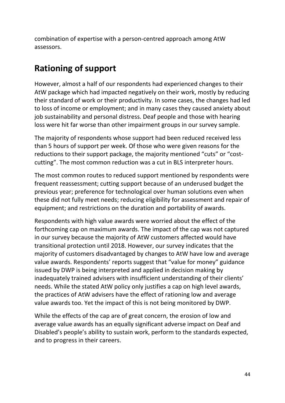combination of expertise with a person-centred approach among AtW assessors.

### <span id="page-43-0"></span>**Rationing of support**

However, almost a half of our respondents had experienced changes to their AtW package which had impacted negatively on their work, mostly by reducing their standard of work or their productivity. In some cases, the changes had led to loss of income or employment; and in many cases they caused anxiety about job sustainability and personal distress. Deaf people and those with hearing loss were hit far worse than other impairment groups in our survey sample.

The majority of respondents whose support had been reduced received less than 5 hours of support per week. Of those who were given reasons for the reductions to their support package, the majority mentioned "cuts" or "costcutting". The most common reduction was a cut in BLS interpreter hours.

The most common routes to reduced support mentioned by respondents were frequent reassessment; cutting support because of an underused budget the previous year; preference for technological over human solutions even when these did not fully meet needs; reducing eligibility for assessment and repair of equipment; and restrictions on the duration and portability of awards.

Respondents with high value awards were worried about the effect of the forthcoming cap on maximum awards. The impact of the cap was not captured in our survey because the majority of AtW customers affected would have transitional protection until 2018. However, our survey indicates that the majority of customers disadvantaged by changes to AtW have low and average value awards. Respondents' reports suggest that "value for money" guidance issued by DWP is being interpreted and applied in decision making by inadequately trained advisers with insufficient understanding of their clients' needs. While the stated AtW policy only justifies a cap on high level awards, the practices of AtW advisers have the effect of rationing low and average value awards too. Yet the impact of this is not being monitored by DWP.

While the effects of the cap are of great concern, the erosion of low and average value awards has an equally significant adverse impact on Deaf and Disabled's people's ability to sustain work, perform to the standards expected, and to progress in their careers.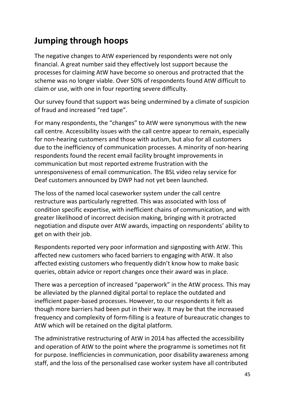### <span id="page-44-0"></span>**Jumping through hoops**

The negative changes to AtW experienced by respondents were not only financial. A great number said they effectively lost support because the processes for claiming AtW have become so onerous and protracted that the scheme was no longer viable. Over 50% of respondents found AtW difficult to claim or use, with one in four reporting severe difficulty.

Our survey found that support was being undermined by a climate of suspicion of fraud and increased "red tape".

For many respondents, the "changes" to AtW were synonymous with the new call centre. Accessibility issues with the call centre appear to remain, especially for non-hearing customers and those with autism, but also for all customers due to the inefficiency of communication processes. A minority of non-hearing respondents found the recent email facility brought improvements in communication but most reported extreme frustration with the unresponsiveness of email communication. The BSL video relay service for Deaf customers announced by DWP had not yet been launched.

The loss of the named local caseworker system under the call centre restructure was particularly regretted. This was associated with loss of condition specific expertise, with inefficient chains of communication, and with greater likelihood of incorrect decision making, bringing with it protracted negotiation and dispute over AtW awards, impacting on respondents' ability to get on with their job.

Respondents reported very poor information and signposting with AtW. This affected new customers who faced barriers to engaging with AtW. It also affected existing customers who frequently didn't know how to make basic queries, obtain advice or report changes once their award was in place.

There was a perception of increased "paperwork" in the AtW process. This may be alleviated by the planned digital portal to replace the outdated and inefficient paper-based processes. However, to our respondents it felt as though more barriers had been put in their way. It may be that the increased frequency and complexity of form-filling is a feature of bureaucratic changes to AtW which will be retained on the digital platform.

The administrative restructuring of AtW in 2014 has affected the accessibility and operation of AtW to the point where the programme is sometimes not fit for purpose. Inefficiencies in communication, poor disability awareness among staff, and the loss of the personalised case worker system have all contributed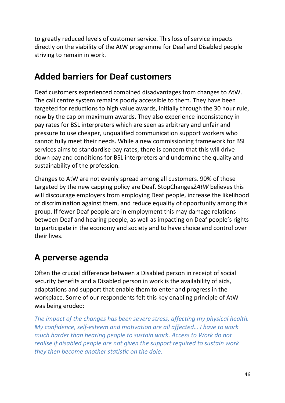to greatly reduced levels of customer service. This loss of service impacts directly on the viability of the AtW programme for Deaf and Disabled people striving to remain in work.

### <span id="page-45-0"></span>**Added barriers for Deaf customers**

Deaf customers experienced combined disadvantages from changes to AtW. The call centre system remains poorly accessible to them. They have been targeted for reductions to high value awards, initially through the 30 hour rule, now by the cap on maximum awards. They also experience inconsistency in pay rates for BSL interpreters which are seen as arbitrary and unfair and pressure to use cheaper, unqualified communication support workers who cannot fully meet their needs. While a new commissioning framework for BSL services aims to standardise pay rates, there is concern that this will drive down pay and conditions for BSL interpreters and undermine the quality and sustainability of the profession.

Changes to AtW are not evenly spread among all customers. 90% of those targeted by the new capping policy are Deaf. StopChanges*2AtW* believes this will discourage employers from employing Deaf people, increase the likelihood of discrimination against them, and reduce equality of opportunity among this group. If fewer Deaf people are in employment this may damage relations between Deaf and hearing people, as well as impacting on Deaf people's rights to participate in the economy and society and to have choice and control over their lives.

### <span id="page-45-1"></span>**A perverse agenda**

Often the crucial difference between a Disabled person in receipt of social security benefits and a Disabled person in work is the availability of aids, adaptations and support that enable them to enter and progress in the workplace. Some of our respondents felt this key enabling principle of AtW was being eroded:

*The impact of the changes has been severe stress, affecting my physical health. My confidence, self-esteem and motivation are all affected… I have to work much harder than hearing people to sustain work. Access to Work do not realise if disabled people are not given the support required to sustain work they then become another statistic on the dole.*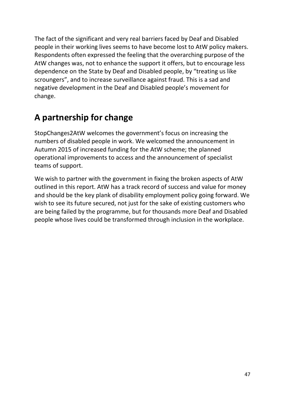The fact of the significant and very real barriers faced by Deaf and Disabled people in their working lives seems to have become lost to AtW policy makers. Respondents often expressed the feeling that the overarching purpose of the AtW changes was, not to enhance the support it offers, but to encourage less dependence on the State by Deaf and Disabled people, by "treating us like scroungers", and to increase surveillance against fraud. This is a sad and negative development in the Deaf and Disabled people's movement for change.

### <span id="page-46-0"></span>**A partnership for change**

StopChanges2AtW welcomes the government's focus on increasing the numbers of disabled people in work. We welcomed the announcement in Autumn 2015 of increased funding for the AtW scheme; the planned operational improvements to access and the announcement of specialist teams of support.

We wish to partner with the government in fixing the broken aspects of AtW outlined in this report. AtW has a track record of success and value for money and should be the key plank of disability employment policy going forward. We wish to see its future secured, not just for the sake of existing customers who are being failed by the programme, but for thousands more Deaf and Disabled people whose lives could be transformed through inclusion in the workplace.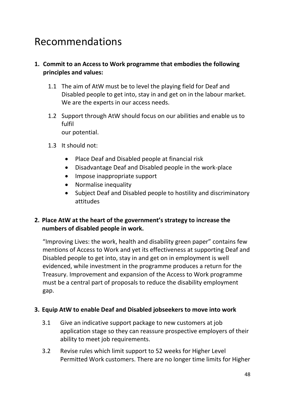# <span id="page-47-0"></span>Recommendations

#### **1. Commit to an Access to Work programme that embodies the following principles and values:**

- 1.1 The aim of AtW must be to level the playing field for Deaf and Disabled people to get into, stay in and get on in the labour market. We are the experts in our access needs.
- 1.2 Support through AtW should focus on our abilities and enable us to fulfil our potential.
- 1.3 It should not:
	- Place Deaf and Disabled people at financial risk
	- Disadvantage Deaf and Disabled people in the work-place
	- Impose inappropriate support
	- Normalise inequality
	- Subject Deaf and Disabled people to hostility and discriminatory attitudes

#### **2. Place AtW at the heart of the government's strategy to increase the numbers of disabled people in work.**

"Improving Lives: the work, health and disability green paper" contains few mentions of Access to Work and yet its effectiveness at supporting Deaf and Disabled people to get into, stay in and get on in employment is well evidenced, while investment in the programme produces a return for the Treasury. Improvement and expansion of the Access to Work programme must be a central part of proposals to reduce the disability employment gap.

#### **3. Equip AtW to enable Deaf and Disabled jobseekers to move into work**

- 3.1 Give an indicative support package to new customers at job application stage so they can reassure prospective employers of their ability to meet job requirements.
- 3.2 Revise rules which limit support to 52 weeks for Higher Level Permitted Work customers. There are no longer time limits for Higher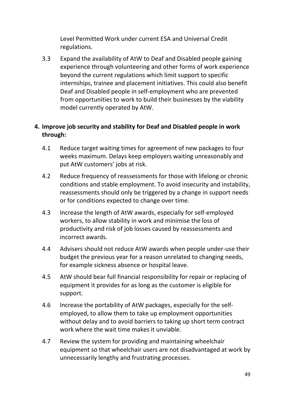Level Permitted Work under current ESA and Universal Credit regulations.

3.3 Expand the availability of AtW to Deaf and Disabled people gaining experience through volunteering and other forms of work experience beyond the current regulations which limit support to specific internships, trainee and placement initiatives. This could also benefit Deaf and Disabled people in self-employment who are prevented from opportunities to work to build their businesses by the viability model currently operated by AtW.

#### **4. Improve job security and stability for Deaf and Disabled people in work through:**

- 4.1 Reduce target waiting times for agreement of new packages to four weeks maximum. Delays keep employers waiting unreasonably and put AtW customers' jobs at risk.
- 4.2 Reduce frequency of reassessments for those with lifelong or chronic conditions and stable employment. To avoid insecurity and instability, reassessments should only be triggered by a change in support needs or for conditions expected to change over time.
- 4.3 Increase the length of AtW awards, especially for self-employed workers, to allow stability in work and minimise the loss of productivity and risk of job losses caused by reassessments and incorrect awards.
- 4.4 Advisers should not reduce AtW awards when people under-use their budget the previous year for a reason unrelated to changing needs, for example sickness absence or hospital leave.
- 4.5 AtW should bear full financial responsibility for repair or replacing of equipment it provides for as long as the customer is eligible for support.
- 4.6 Increase the portability of AtW packages, especially for the selfemployed, to allow them to take up employment opportunities without delay and to avoid barriers to taking up short term contract work where the wait time makes it unviable.
- 4.7 Review the system for providing and maintaining wheelchair equipment so that wheelchair users are not disadvantaged at work by unnecessarily lengthy and frustrating processes.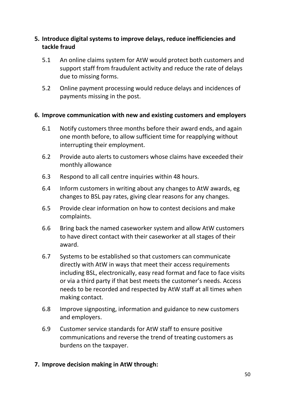#### **5. Introduce digital systems to improve delays, reduce inefficiencies and tackle fraud**

- 5.1 An online claims system for AtW would protect both customers and support staff from fraudulent activity and reduce the rate of delays due to missing forms.
- 5.2 Online payment processing would reduce delays and incidences of payments missing in the post.

#### **6. Improve communication with new and existing customers and employers**

- 6.1 Notify customers three months before their award ends, and again one month before, to allow sufficient time for reapplying without interrupting their employment.
- 6.2 Provide auto alerts to customers whose claims have exceeded their monthly allowance
- 6.3 Respond to all call centre inquiries within 48 hours.
- 6.4 Inform customers in writing about any changes to AtW awards, eg changes to BSL pay rates, giving clear reasons for any changes.
- 6.5 Provide clear information on how to contest decisions and make complaints.
- 6.6 Bring back the named caseworker system and allow AtW customers to have direct contact with their caseworker at all stages of their award.
- 6.7 Systems to be established so that customers can communicate directly with AtW in ways that meet their access requirements including BSL, electronically, easy read format and face to face visits or via a third party if that best meets the customer's needs. Access needs to be recorded and respected by AtW staff at all times when making contact.
- 6.8 Improve signposting, information and guidance to new customers and employers.
- 6.9 Customer service standards for AtW staff to ensure positive communications and reverse the trend of treating customers as burdens on the taxpayer.

#### **7. Improve decision making in AtW through:**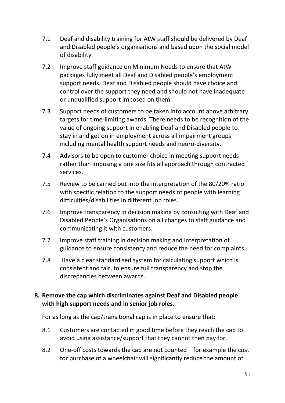- 7.1 Deaf and disability training for AtW staff should be delivered by Deaf and Disabled people's organisations and based upon the social model of disability.
- 7.2 Improve staff guidance on Minimum Needs to ensure that AtW packages fully meet all Deaf and Disabled people's employment support needs. Deaf and Disabled people should have choice and control over the support they need and should not have inadequate or unqualified support imposed on them.
- 7.3 Support needs of customers to be taken into account above arbitrary targets for time-limiting awards. There needs to be recognition of the value of ongoing support in enabling Deaf and Disabled people to stay in and get on in employment across all impairment groups including mental health support needs and neuro-diversity.
- 7.4 Advisors to be open to customer choice in meeting support needs rather than imposing a one size fits all approach through contracted services.
- 7.5 Review to be carried out into the interpretation of the 80/20% ratio with specific relation to the support needs of people with learning difficulties/disabilities in different job roles.
- 7.6 Improve transparency in decision making by consulting with Deaf and Disabled People's Organisations on all changes to staff guidance and communicating it with customers.
- 7.7 Improve staff training in decision making and interpretation of guidance to ensure consistency and reduce the need for complaints.
- 7.8 Have a clear standardised system for calculating support which is consistent and fair, to ensure full transparency and stop the discrepancies between awards.

#### **8. Remove the cap which discriminates against Deaf and Disabled people with high support needs and in senior job roles.**

For as long as the cap/transitional cap is in place to ensure that:

- 8.1 Customers are contacted in good time before they reach the cap to avoid using assistance/support that they cannot then pay for.
- 8.2 One-off costs towards the cap are not counted for example the cost for purchase of a wheelchair will significantly reduce the amount of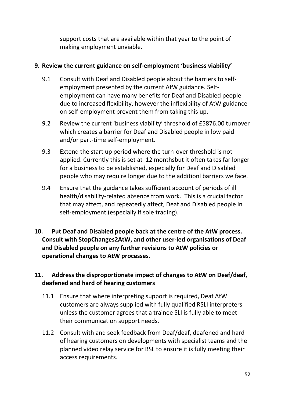support costs that are available within that year to the point of making employment unviable.

#### **9. Review the current guidance on self-employment 'business viability'**

- 9.1 Consult with Deaf and Disabled people about the barriers to selfemployment presented by the current AtW guidance. Selfemployment can have many benefits for Deaf and Disabled people due to increased flexibility, however the inflexibility of AtW guidance on self-employment prevent them from taking this up.
- 9.2 Review the current 'business viability' threshold of £5876.00 turnover which creates a barrier for Deaf and Disabled people in low paid and/or part-time self-employment.
- 9.3 Extend the start up period where the turn-over threshold is not applied. Currently this is set at 12 monthsbut it often takes far longer for a business to be established, especially for Deaf and Disabled people who may require longer due to the additionl barriers we face.
- 9.4 Ensure that the guidance takes sufficient account of periods of ill health/disability-related absence from work. This is a crucial factor that may affect, and repeatedly affect, Deaf and Disabled people in self-employment (especially if sole trading).
- **10. Put Deaf and Disabled people back at the centre of the AtW process. Consult with StopChanges2AtW, and other user-led organisations of Deaf and Disabled people on any further revisions to AtW policies or operational changes to AtW processes.**

#### **11. Address the disproportionate impact of changes to AtW on Deaf/deaf, deafened and hard of hearing customers**

- 11.1 Ensure that where interpreting support is required, Deaf AtW customers are always supplied with fully qualified RSLI interpreters unless the customer agrees that a trainee SLI is fully able to meet their communication support needs.
- 11.2 Consult with and seek feedback from Deaf/deaf, deafened and hard of hearing customers on developments with specialist teams and the planned video relay service for BSL to ensure it is fully meeting their access requirements.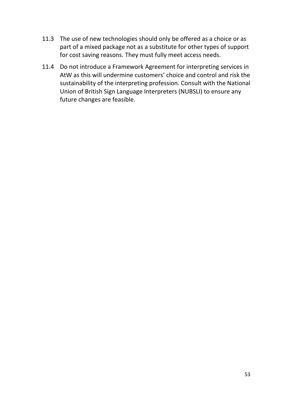- 11.3 The use of new technologies should only be offered as a choice or as part of a mixed package not as a substitute for other types of support for cost saving reasons. They must fully meet access needs.
- 11.4 Do not introduce a Framework Agreement for interpreting services in AtW as this will undermine customers' choice and control and risk the sustainability of the interpreting profession. Consult with the National Union of British Sign Language Interpreters (NUBSLI) to ensure any future changes are feasible.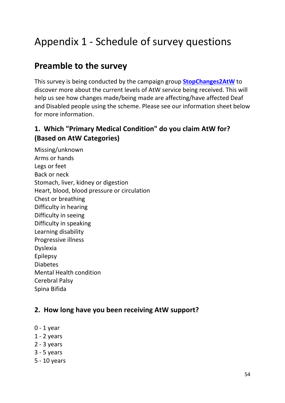# <span id="page-53-0"></span>Appendix 1 - Schedule of survey questions

### **Preamble to the survey**

This survey is being conducted by the campaign group **[StopChanges2AtW](http://stopchanges2atw.com/about/)** to discover more about the current levels of AtW service being received. This will help us see how changes made/being made are affecting/have affected Deaf and Disabled people using the scheme. Please see our information sheet below for more information.

### **1. Which "Primary Medical Condition" do you claim AtW for? (Based on AtW Categories)**

Missing/unknown Arms or hands Legs or feet Back or neck Stomach, liver, kidney or digestion Heart, blood, blood pressure or circulation Chest or breathing Difficulty in hearing Difficulty in seeing Difficulty in speaking Learning disability Progressive illness Dyslexia Epilepsy Diabetes Mental Health condition Cerebral Palsy Spina Bifida

#### **2. How long have you been receiving AtW support?**

- 0 1 year
- 1 2 years
- 2 3 years
- 3 5 years
- 5 10 years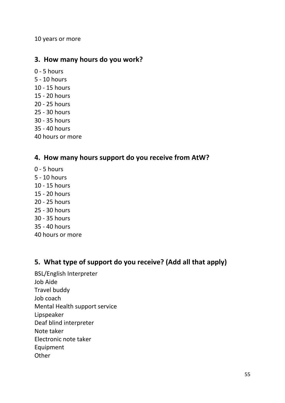10 years or more

#### **3. How many hours do you work?**

- 0 5 hours
- 5 10 hours
- 10 15 hours
- 15 20 hours
- 20 25 hours
- 25 30 hours
- 30 35 hours
- 35 40 hours
- 40 hours or more

#### **4. How many hours support do you receive from AtW?**

- 0 5 hours
- 5 10 hours
- 10 15 hours
- 15 20 hours
- 20 25 hours
- 25 30 hours
- 30 35 hours
- 35 40 hours
- 40 hours or more

#### **5. What type of support do you receive? (Add all that apply)**

BSL/English Interpreter Job Aide Travel buddy Job coach Mental Health support service Lipspeaker Deaf blind interpreter Note taker Electronic note taker Equipment **Other**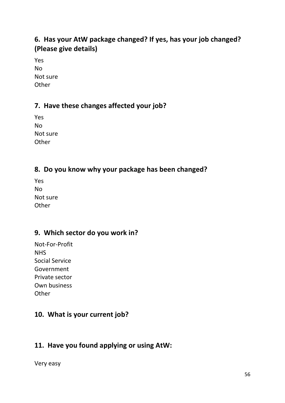### **6. Has your AtW package changed? If yes, has your job changed? (Please give details)**

Yes No Not sure **Other** 

### **7. Have these changes affected your job?**

Yes No Not sure **Other** 

### **8. Do you know why your package has been changed?**

| Yes      |
|----------|
| No       |
| Not sure |
| Other    |

### **9. Which sector do you work in?**

Not-For-Profit NHS Social Service Government Private sector Own business **Other** 

### **10. What is your current job?**

### **11. Have you found applying or using AtW:**

Very easy